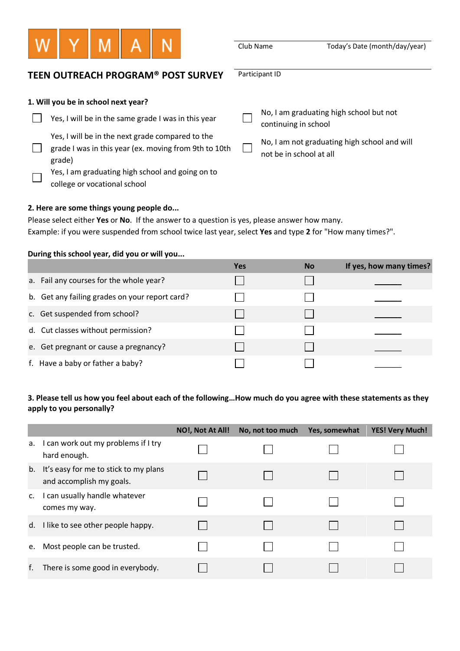

Participant ID

Club Name Today's Date (month/day/year)

# **TEEN OUTREACH PROGRAM® POST SURVEY**

| 1. Will you be in school next year? |  |
|-------------------------------------|--|
|-------------------------------------|--|

| Yes, I will be in the same grade I was in this year                                                                 | No, I am graduating high school but not<br>continuing in school         |
|---------------------------------------------------------------------------------------------------------------------|-------------------------------------------------------------------------|
| Yes, I will be in the next grade compared to the<br>grade I was in this year (ex. moving from 9th to 10th<br>grade) | No, I am not graduating high school and will<br>not be in school at all |
| Yes, I am graduating high school and going on to<br>college or vocational school                                    |                                                                         |

### **2. Here are some things young people do...**

Please select either **Yes** or **No**. If the answer to a question is yes, please answer how many. Example: if you were suspended from school twice last year, select **Yes** and type **2** for "How many times?".

### **During this school year, did you or will you...**

|                                                | <b>Yes</b> | <b>No</b> | If yes, how many times? |
|------------------------------------------------|------------|-----------|-------------------------|
| a. Fail any courses for the whole year?        |            |           |                         |
| b. Get any failing grades on your report card? |            |           |                         |
| c. Get suspended from school?                  |            |           |                         |
| d. Cut classes without permission?             |            |           |                         |
| e. Get pregnant or cause a pregnancy?          |            |           |                         |
| f. Have a baby or father a baby?               |            |           |                         |

## **3. Please tell us how you feel about each of the following…How much do you agree with these statements as they apply to you personally?**

|                |                                                                      | NO!, Not At All! | No, not too much | Yes, somewhat | <b>YES! Very Much!</b> |
|----------------|----------------------------------------------------------------------|------------------|------------------|---------------|------------------------|
|                | a. I can work out my problems if I try<br>hard enough.               |                  |                  |               |                        |
|                | b. It's easy for me to stick to my plans<br>and accomplish my goals. |                  |                  |               |                        |
| $\mathsf{C}$ . | I can usually handle whatever<br>comes my way.                       |                  |                  |               |                        |
|                | d. I like to see other people happy.                                 |                  |                  |               |                        |
| e.             | Most people can be trusted.                                          |                  |                  |               |                        |
| f.             | There is some good in everybody.                                     |                  |                  |               |                        |